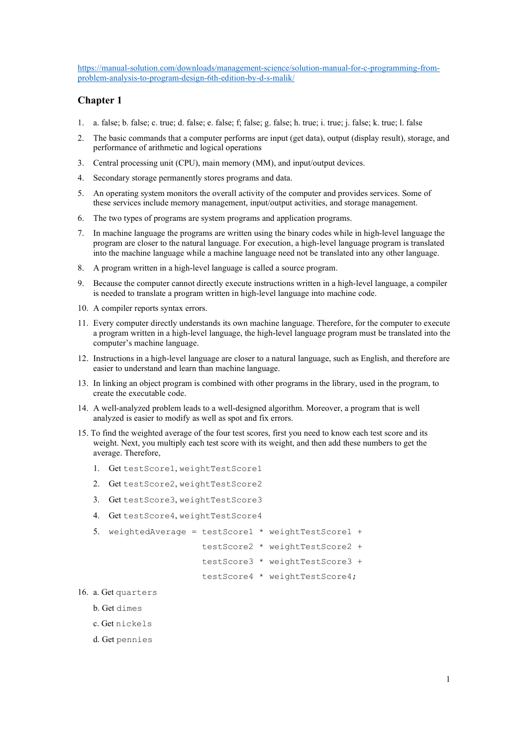### Chapter 1

- 1. a. false; b. false; c. true; d. false; e. false; f; false; g. false; h. true; i. true; j. false; k. true; l. false
- 2. The basic commands that a computer performs are input (get data), output (display result), storage, and performance of arithmetic and logical operations
- 3. Central processing unit (CPU), main memory (MM), and input/output devices.
- 4. Secondary storage permanently stores programs and data.
- 5. An operating system monitors the overall activity of the computer and provides services. Some of these services include memory management, input/output activities, and storage management.
- 6. The two types of programs are system programs and application programs.
- 7. In machine language the programs are written using the binary codes while in high-level language the program are closer to the natural language. For execution, a high-level language program is translated into the machine language while a machine language need not be translated into any other language.
- 8. A program written in a high-level language is called a source program.
- 9. Because the computer cannot directly execute instructions written in a high-level language, a compiler is needed to translate a program written in high-level language into machine code.
- 10. A compiler reports syntax errors.
- 11. Every computer directly understands its own machine language. Therefore, for the computer to execute a program written in a high-level language, the high-level language program must be translated into the computer's machine language.
- 12. Instructions in a high-level language are closer to a natural language, such as English, and therefore are easier to understand and learn than machine language.
- 13. In linking an object program is combined with other programs in the library, used in the program, to create the executable code.
- 14. A well-analyzed problem leads to a well-designed algorithm. Moreover, a program that is well analyzed is easier to modify as well as spot and fix errors.
- 15. To find the weighted average of the four test scores, first you need to know each test score and its weight. Next, you multiply each test score with its weight, and then add these numbers to get the average. Therefore,
	- 1. Get testScore1, weightTestScore1
	- 2. Get testScore2, weightTestScore2
	- 3. Get testScore3, weightTestScore3
	- 4. Get testScore4, weightTestScore4
	- 5. weightedAverage = testScore1 \* weightTestScore1 +
		- testScore2 \* weightTestScore2 +
		- testScore3 \* weightTestScore3 +

testScore4 \* weightTestScore4;

- 16. a. Get quarters
	- b. Get dimes
	- c. Get nickels
	- d. Get pennies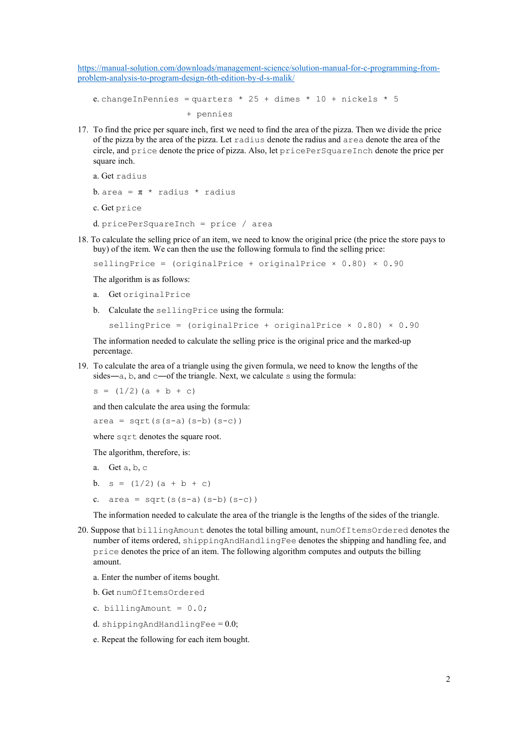e. changeInPennies = quarters  $*$  25 + dimes  $*$  10 + nickels  $*$  5 + pennies

17. To find the price per square inch, first we need to find the area of the pizza. Then we divide the price of the pizza by the area of the pizza. Let radius denote the radius and area denote the area of the circle, and price denote the price of pizza. Also, let pricePerSquareInch denote the price per square inch.

```
 a. Get radius
b. area = \pi * radius * radius
 c. Get price
 d. pricePerSquareInch = price / area
```
18. To calculate the selling price of an item, we need to know the original price (the price the store pays to buy) of the item. We can then the use the following formula to find the selling price:

```
sellingPrice = (originalPrice + originalPrice \times 0.80) \times 0.90
```
The algorithm is as follows:

- a. Get originalPrice
- b. Calculate the sellingPrice using the formula:

```
\text{sellingPrice} = (\text{originalPrice} + \text{originalPrice} \times 0.80) \times 0.90
```
 The information needed to calculate the selling price is the original price and the marked-up percentage.

19. To calculate the area of a triangle using the given formula, we need to know the lengths of the sides—a, b, and c—of the triangle. Next, we calculate s using the formula:

 $s = (1/2) (a + b + c)$ 

and then calculate the area using the formula:

 $area = sqrt(s(s-a)(s-b)(s-c))$ 

where sqrt denotes the square root.

The algorithm, therefore, is:

- a. Get a, b, c
- b.  $s = (1/2) (a + b + c)$
- c.  $area = sqrt(s(s-a)(s-b)(s-c))$

The information needed to calculate the area of the triangle is the lengths of the sides of the triangle.

- 20. Suppose that billingAmount denotes the total billing amount, numOfItemsOrdered denotes the number of items ordered, shippingAndHandlingFee denotes the shipping and handling fee, and price denotes the price of an item. The following algorithm computes and outputs the billing amount.
	- a. Enter the number of items bought.
	- b. Get numOfItemsOrdered
	- c. billingAmount =  $0.0$ ;
	- d. shippingAndHandlingFee  $= 0.0$ ;
	- e. Repeat the following for each item bought.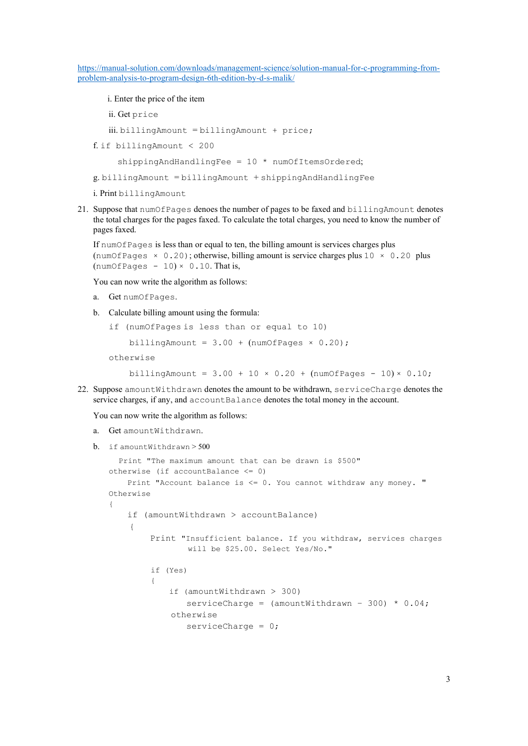i. Enter the price of the item

ii. Get price

iii. billingAmount = billingAmount + price;

f. if billingAmount < 200

 $shippingAndHandlingFe = 10 * numOfItemsOrdered:$ 

g. billingAmount = billingAmount + shippingAndHandlingFee

i. Print billingAmount

21. Suppose that numOfPages denoes the number of pages to be faxed and billingAmount denotes the total charges for the pages faxed. To calculate the total charges, you need to know the number of pages faxed.

If numOfPages is less than or equal to ten, the billing amount is services charges plus (numOfPages  $\times$  0.20); otherwise, billing amount is service charges plus 10  $\times$  0.20 plus  $(numOfPages - 10) \times 0.10$ . That is,

You can now write the algorithm as follows:

- a. Get numOfPages.
- b. Calculate billing amount using the formula:

```
if (numOfPages is less than or equal to 10)
```

```
billingAmount = 3.00 + (numOf Pages \times 0.20);
```
otherwise

billingAmount =  $3.00 + 10 \times 0.20 + (numOf Pages - 10) \times 0.10$ ;

22. Suppose amountWithdrawn denotes the amount to be withdrawn, serviceCharge denotes the service charges, if any, and accountBalance denotes the total money in the account.

You can now write the algorithm as follows:

- a. Get amountWithdrawn.
- b. if amountWithdrawn > 500

```
 Print "The maximum amount that can be drawn is $500" 
otherwise (if accountBalance \leq 0)
       Print "Account balance is <= 0. You cannot withdraw any money. " 
Otherwise 
{ 
       if (amountWithdrawn > accountBalance) 
         { 
                Print "Insufficient balance. If you withdraw, services charges 
                              will be $25.00. Select Yes/No." 
                if (Yes) 
\left\{ \begin{array}{ccc} 0 & 0 & 0 \\ 0 & 0 & 0 \\ 0 & 0 & 0 \\ 0 & 0 & 0 \\ 0 & 0 & 0 \\ 0 & 0 & 0 \\ 0 & 0 & 0 \\ 0 & 0 & 0 \\ 0 & 0 & 0 \\ 0 & 0 & 0 \\ 0 & 0 & 0 \\ 0 & 0 & 0 \\ 0 & 0 & 0 \\ 0 & 0 & 0 & 0 \\ 0 & 0 & 0 & 0 \\ 0 & 0 & 0 & 0 \\ 0 & 0 & 0 & 0 & 0 \\ 0 & 0 & 0 & 0 & 0 \\ 0 & 0 & 0 & 0 & 0 \\ 0 & 0 & 0 & 0 if (amountWithdrawn > 300) 
                             serviceCharge = (amountWithout + 300) * 0.04; otherwise 
                             serviceCharge = 0;
```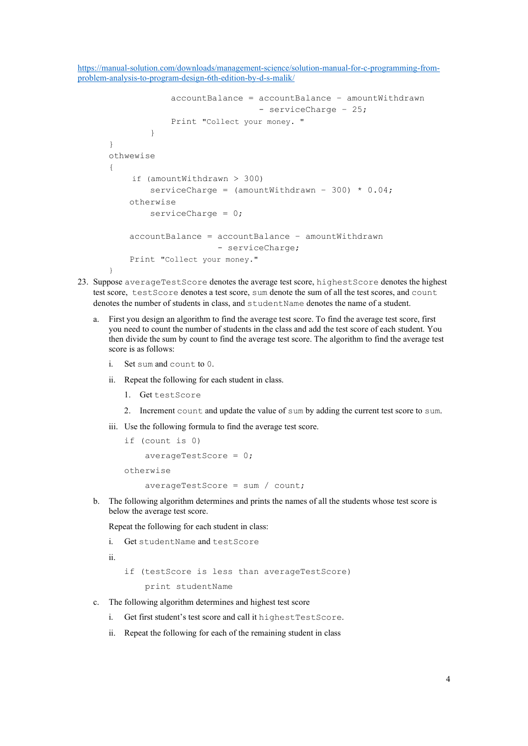```
 accountBalance = accountBalance – amountWithdrawn 
                                - serviceCharge – 25; 
              Print "Collect your money. "
 } 
} 
othwewise 
{ 
     if (amountWithdrawn > 300) 
        serviceCharge = (amountWithdrawn - 300) * 0.04;
     otherwise 
        serviceCharge = 0;
     accountBalance = accountBalance – amountWithdrawn 
                      - serviceCharge;
     Print "Collect your money." 
\mathbf{I}
```
- 23. Suppose averageTestScore denotes the average test score, highestScore denotes the highest test score, testScore denotes a test score, sum denote the sum of all the test scores, and count denotes the number of students in class, and studentName denotes the name of a student.
	- a. First you design an algorithm to find the average test score. To find the average test score, first you need to count the number of students in the class and add the test score of each student. You then divide the sum by count to find the average test score. The algorithm to find the average test score is as follows:
		- i. Set sum and count to 0.
		- ii. Repeat the following for each student in class.
			- 1. Get testScore
			- 2. Increment count and update the value of sum by adding the current test score to sum.
		- iii. Use the following formula to find the average test score.

```
if (count is 0) 
     averageTestScore = 0; 
otherwise 
     averageTestScore = sum / count;
```
b. The following algorithm determines and prints the names of all the students whose test score is below the average test score.

Repeat the following for each student in class:

```
i. Get studentName and testScore
```

```
ii.
```
if (testScore is less than averageTestScore) print studentName

- c. The following algorithm determines and highest test score
	- i. Get first student's test score and call it highestTestScore.
	- ii. Repeat the following for each of the remaining student in class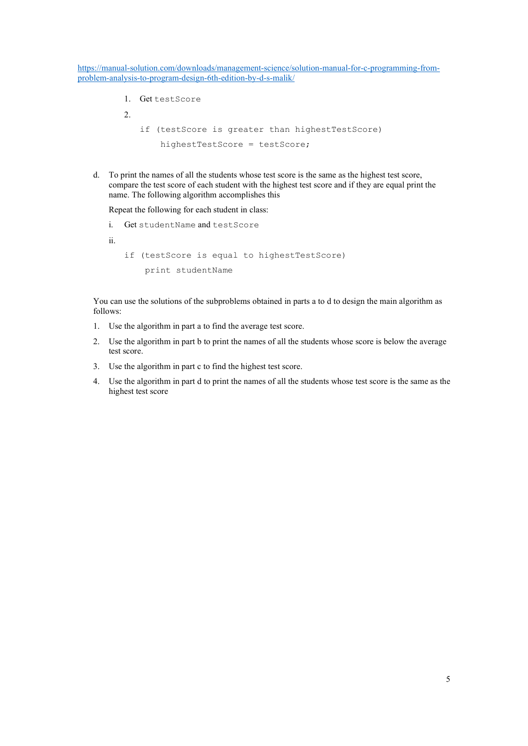- 1. Get testScore
- $2^{\circ}$
- if (testScore is greater than highestTestScore) highestTestScore = testScore;
- d. To print the names of all the students whose test score is the same as the highest test score, compare the test score of each student with the highest test score and if they are equal print the name. The following algorithm accomplishes this

Repeat the following for each student in class:

i. Get studentName and testScore ii. if (testScore is equal to highestTestScore) print studentName

You can use the solutions of the subproblems obtained in parts a to d to design the main algorithm as follows:

- 1. Use the algorithm in part a to find the average test score.
- 2. Use the algorithm in part b to print the names of all the students whose score is below the average test score.
- 3. Use the algorithm in part c to find the highest test score.
- 4. Use the algorithm in part d to print the names of all the students whose test score is the same as the highest test score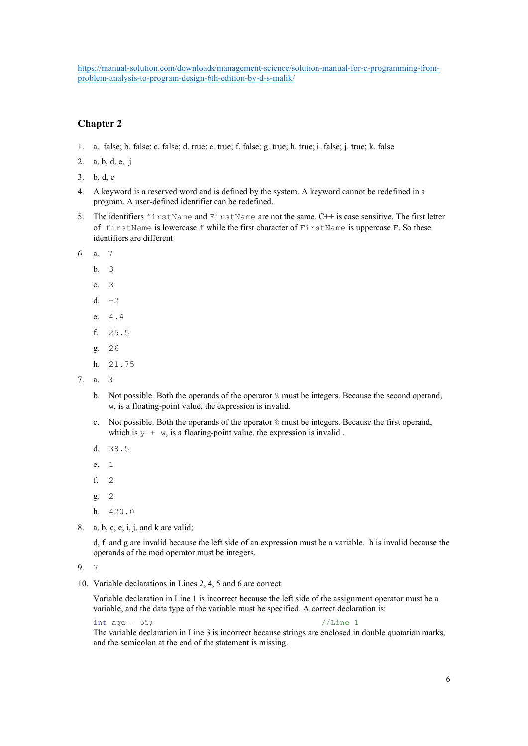# Chapter 2

- 1. a. false; b. false; c. false; d. true; e. true; f. false; g. true; h. true; i. false; j. true; k. false
- 2. a, b, d, e, j
- 3. b, d, e
- 4. A keyword is a reserved word and is defined by the system. A keyword cannot be redefined in a program. A user-defined identifier can be redefined.
- 5. The identifiers firstName and FirstName are not the same. C++ is case sensitive. The first letter of firstName is lowercase f while the first character of FirstName is uppercase F. So these identifiers are different
- 6 a. 7
	- b. 3
	- c. 3
	- d.  $-2$
	- e. 4.4
	- f. 25.5
	- g. 26
	- h. 21.75
- 7. a. 3
	- b. Not possible. Both the operands of the operator % must be integers. Because the second operand, w, is a floating-point value, the expression is invalid.
	- c. Not possible. Both the operands of the operator % must be integers. Because the first operand, which is  $y + w$ , is a floating-point value, the expression is invalid.
	- d. 38.5
	- e. 1
	- f. 2
	- g. 2
	- h. 420.0
- 8. a, b, c, e, i, j, and k are valid;

 d, f, and g are invalid because the left side of an expression must be a variable. h is invalid because the operands of the mod operator must be integers.

9. 7

10. Variable declarations in Lines 2, 4, 5 and 6 are correct.

Variable declaration in Line 1 is incorrect because the left side of the assignment operator must be a variable, and the data type of the variable must be specified. A correct declaration is:

int age = 55; //Line 1

The variable declaration in Line 3 is incorrect because strings are enclosed in double quotation marks, and the semicolon at the end of the statement is missing.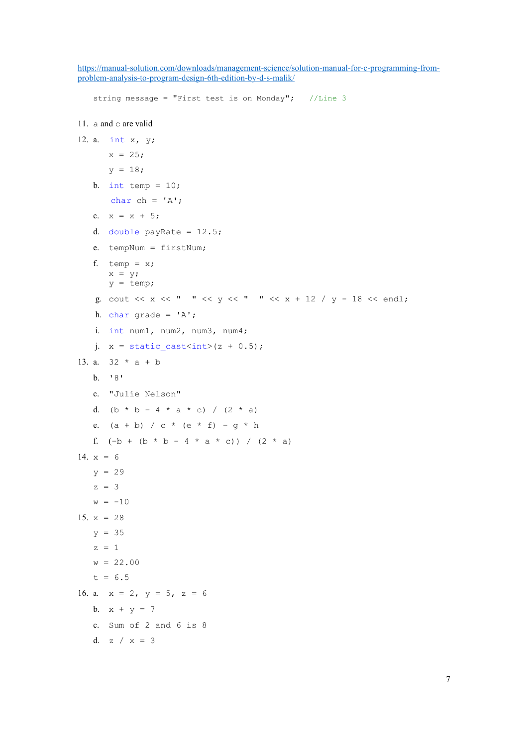```
string message = "First test is on Monday"; //Line 3
11. a and c are valid
12. a. int x, y; 
       x = 25;y = 18;b. int temp = 10;char ch = 'A';c. x = x + 5;d. double payRate = 12.5;
   e. tempNum = firstNum; 
   f. temp = x;
       x = y;y = \text{temp};g. cout \langle x \rangle \langle x \rangle " \langle x \rangle \langle y \rangle " \langle x \rangle \langle x \rangle " \langle x \rangle + 12 / y - 18 \langle x \rangle endl;
   h. char grade = 'A';
    i. int num1, num2, num3, num4; 
   j. x = static cast\frac{\sinh(x) + 0.5}{i};
13. a. 32 * a + bb. '8' 
   c. "Julie Nelson"
   d. (b * b - 4 * a * c) / (2 * a)e. (a + b) / c * (e * f) - g * hf. (-b + (b * b - 4 * a * c)) / (2 * a)14. x = 6y = 29z = 3w = -1015. x = 28y = 35z = 1w = 22.00t = 6.516. a. x = 2, y = 5, z = 6b. x + y = 7c. Sum of 2 and 6 is 8
   d. z / x = 3
```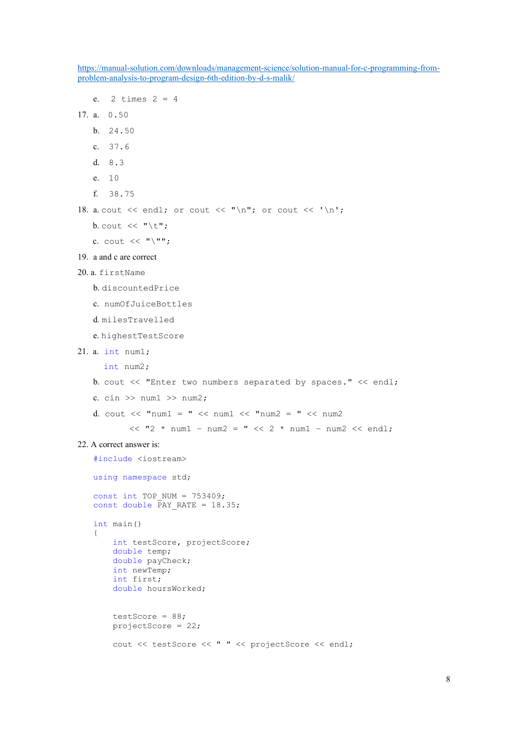https://manual-solution.com/downloads/management-science/solution-manual-for-c-programming-fromproblem-analysis-to-program-design-6th-edition-by-d-s-malik/ e.  $2 \text{ times } 2 = 4$ 17. a. 0.50 b. 24.50 c. 37.6 d. 8.3 e. 10 f. 38.75 18. a. cout  $\langle\langle$  endl; or cout  $\langle\langle$  "\n"; or cout  $\langle$  '\n'; b. cout  $\langle\langle \nabla \cdot \mathbf{u} \rangle$ c. cout  $\langle\langle \n\cdots \rangle^{n}$ ; 19. a and c are correct 20. a. firstName b. discountedPrice c. numOfJuiceBottles d. milesTravelled e. highestTestScore 21. a. int num1; int num2; b. cout << "Enter two numbers separated by spaces." << endl; c. cin  $\gg$  num1  $\gg$  num2; d. cout  $\langle\langle$  "num1 = "  $\langle\langle$  num1  $\langle$  "num2 = "  $\langle\langle$  num2  $<<$  "2 \* num1 - num2 = "  $<<$  2 \* num1 - num2  $<<$  endl; 22. A correct answer is: #include <iostream> using namespace std; const int TOP\_NUM =  $753409$ ; const double  $\overline{PAY}$  RATE = 18.35; int main() { int testScore, projectScore; double temp; double payCheck; int newTemp; int first; double hoursWorked; testScore =  $88;$ projectScore = 22;

```
cout << testScore << " " << projectScore << endl;
```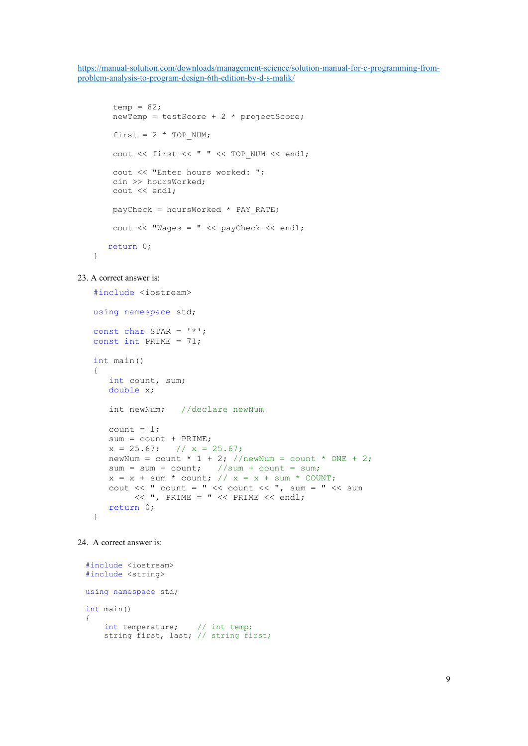```
temp = 82;
 newTemp = testScore + 2 * projectScore;first = 2 * TOP NUM;cout << first << " " << TOP NUM << endl;
 cout << "Enter hours worked: "; 
 cin >> hoursWorked; 
  cout << endl; 
payCheck = hoursWorked * PAY RATE; cout << "Wages = " << payCheck << endl; 
 return 0;
```
#### 23. A correct answer is:

}

```
#include <iostream> 
using namespace std; 
const char STAR = '*';
const int PRIME = 71;
int main() 
{ 
    int count, sum; 
    double x; 
    int newNum; //declare newNum
  count = 1; sum = count + PRIME; 
   x = 25.67; // x = 25.67;
   newNum = count * 1 + 2; //newNum = count * ONE + 2;
sum = sum + count; //sum + count = sum;
x = x + sum * count; // x = x + sum * COUNT;cout << " count = " << count << ", sum = " << sum
        << ", PRIME = " << PRIME << endl;
   return 0; 
}
```

```
24. A correct answer is:
```

```
#include <iostream> 
#include <string> 
using namespace std; 
int main() 
{ 
int temperature; // int temp;
 string first, last; // string first;
```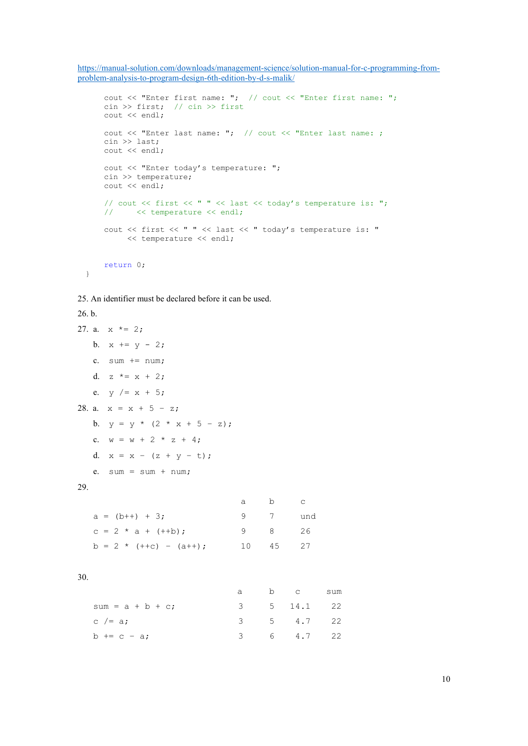```
 cout << "Enter first name: "; // cout << "Enter first name: "; 
 cin >> first; // cin >> first
 cout << endl; 
 cout << "Enter last name: "; // cout << "Enter last name: ; 
 cin >> last; 
 cout << endl; 
 cout << "Enter today's temperature: "; 
 cin >> temperature; 
 cout << endl; 
// cout << first << " " << last << today's temperature is: ";
// \iff temperature \iff endl;
 cout << first << " " << last << " today's temperature is: " 
      << temperature << endl; 
 return 0;
```

```
}
```
25. An identifier must be declared before it can be used.

## 26. b.

```
27. a. x * = 2;b. x == y - 2;c. sum += num;
  d. z^* = x + 2;e. y /= x + 5;
28. a. x = x + 5 - z;b. y = y * (2 * x + 5 - z);
  c. w = w + 2 * z + 4;d. x = x - (z + y - t);
  e. sum = sum + num;29. 
                        a b c 
  a = (b++) + 3; 9 7 und
  c = 2 * a + (++b); 9 8 26
  b = 2 * (++c) - (a++); 10 45 27
30. 
a b c sum
```

| $sum = a + b + c$ ; |  | 3 5 14.1 22 |  |
|---------------------|--|-------------|--|
| $c$ /= a;           |  | 3 5 4.7 22  |  |
| $b == c - a$ ;      |  | 3 6 4.7 22  |  |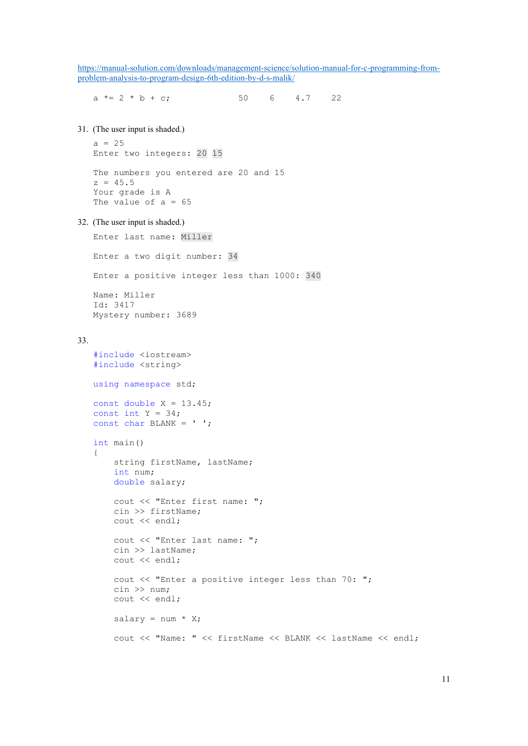a  $* = 2 * b + c$ ; 50 6 4.7 22

31. (The user input is shaded.)

```
a = 25Enter two integers: 20 15 
The numbers you entered are 20 and 15 
z = 45.5Your grade is A 
The value of a = 65
```
32. (The user input is shaded.)

```
Enter last name: Miller
```

```
Enter a two digit number: 34
```
Enter a positive integer less than 1000: 340

```
Name: Miller 
Id: 3417 
Mystery number: 3689
```
#### 33.

```
#include <iostream> 
#include <string> 
using namespace std; 
const double X = 13.45;
const int Y = 34;
const char BLANK = ' '; 
int main() 
{ 
     string firstName, lastName; 
     int num; 
     double salary; 
     cout << "Enter first name: "; 
     cin >> firstName; 
     cout << endl; 
     cout << "Enter last name: "; 
     cin >> lastName; 
     cout << endl; 
     cout << "Enter a positive integer less than 70: "; 
     cin >> num; 
     cout << endl; 
    salary = num * X; cout << "Name: " << firstName << BLANK << lastName << endl;
```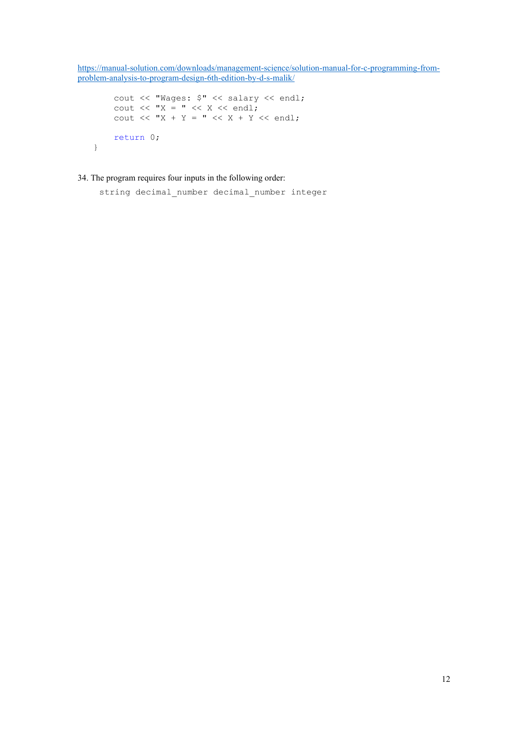```
 cout << "Wages: $" << salary << endl; 
cout << "X = " << X << endl;
cout << "X + Y = " << X + Y << endl;
    return 0;
```
### 34. The program requires four inputs in the following order:

}

string decimal number decimal number integer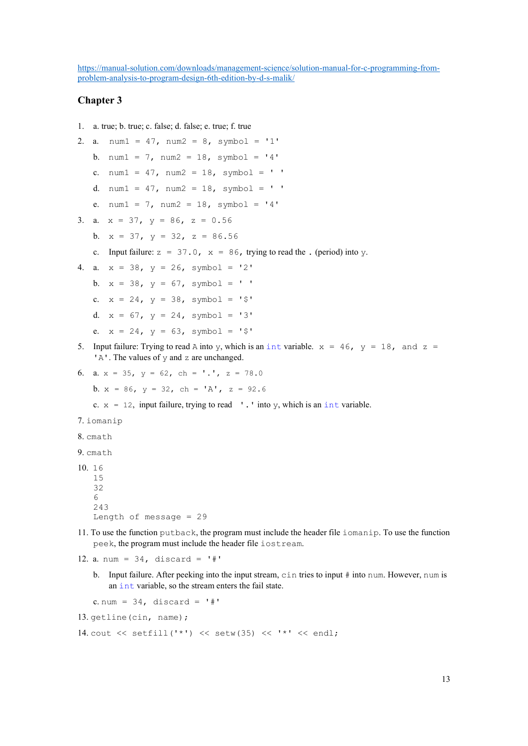## Chapter 3

```
1. a. true; b. true; c. false; d. false; e. true; f. true 
2. a. num1 = 47, num2 = 8, symbol1 = '1'b. num1 = 7, num2 = 18, symbol1 = '4'c. num1 = 47, num2 = 18, symbol1 = 'd. num1 = 47, num2 = 18, symbol1 = 'e. num1 = 7, num2 = 18, symbol1 = '4'3. a. x = 37, y = 86, z = 0.56b. x = 37, y = 32, z = 86.56c. Input failure: z = 37.0, x = 86, trying to read the . (period) into y.
4. a. x = 38, y = 26, symbol = '2'
   b. x = 38, y = 67, symbol = ''
   c. x = 24, y = 38, symbol = '$'
   d. x = 67, y = 24, symbol = '3'
   e. x = 24, y = 63, symbol = '$'
5. Input failure: Trying to read A into y, which is an int variable. x = 46, y = 18, and z ='A'. The values of y and z are unchanged.
6. a. x = 35, y = 62, ch = '.', z = 78.0
   b. x = 86, y = 32, ch = 'A', z = 92.6c. x = 12, input failure, trying to read '.' into y, which is an int variable.
7. iomanip
8. cmath 
9. cmath
10. 16 
   15 
   32 
   6 
   243 
   Length of message = 29 
11. To use the function putback, the program must include the header file iomanip. To use the function 
   peek, the program must include the header file iostream. 
12. a. num = 34, discard = '#'
   b. Input failure. After peeking into the input stream, cin tries to input # into num. However, num is 
       an int variable, so the stream enters the fail state. 
   c. num = 34, discard = '#'
13. getline (cin, name) ;
```

```
14. cout << setfill('*') << setw(35) << '*' << endl;
```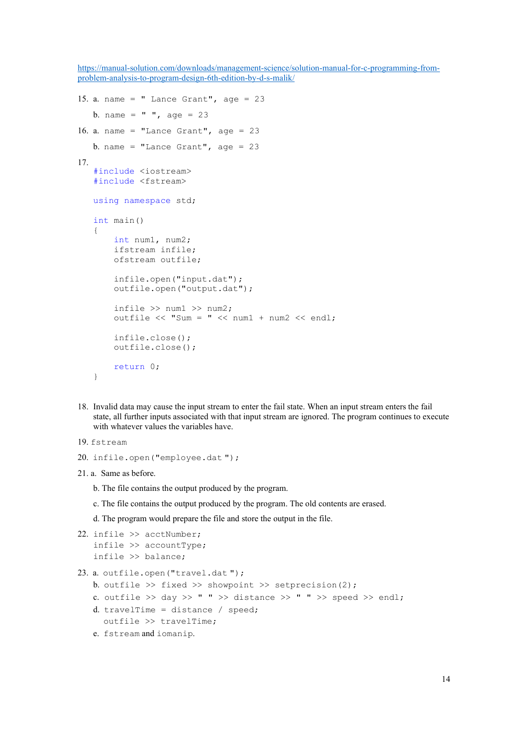```
15. a. name = " Lance Grant", age = 23
   b. name = " ", age = 23
16. a. name = "Lance Grant", age = 23b. name = "Lance Grant", age = 2317. 
   #include <iostream> 
   #include <fstream> 
   using namespace std; 
   int main() 
   { 
        int num1, num2; 
        ifstream infile; 
        ofstream outfile; 
        infile.open("input.dat"); 
        outfile.open("output.dat"); 
       infile \gg num1 \gg num2;
       outfile \ll "Sum = " \ll num1 + num2 \ll endl;
        infile.close(); 
        outfile.close(); 
        return 0; 
   }
```
- 18. Invalid data may cause the input stream to enter the fail state. When an input stream enters the fail state, all further inputs associated with that input stream are ignored. The program continues to execute with whatever values the variables have.
- 19. fstream

```
20. infile.open("employee.dat ");
```
21. a. Same as before.

b. The file contains the output produced by the program.

c. The file contains the output produced by the program. The old contents are erased.

d. The program would prepare the file and store the output in the file.

```
22. infile >> acctNumber; 
    infile >> accountType;
   infile >> balance;
```
23. a. outfile.open("travel.dat ");

- b. outfile  $\gg$  fixed  $\gg$  showpoint  $\gg$  setprecision(2);
- c. outfile >> day >> " " >> distance >> " " >> speed >> endl;
- d. travelTime = distance / speed;
- outfile >> travelTime;
- e. fstream and iomanip.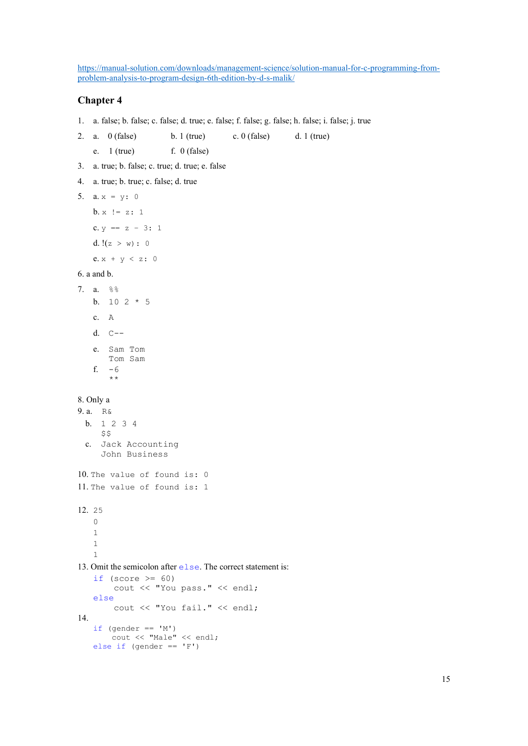## Chapter 4

1. a. false; b. false; c. false; d. true; e. false; f. false; g. false; h. false; i. false; j. true

2. a. 0 (false) b. 1 (true) c. 0 (false) d. 1 (true)

- e.  $1$  (true) f. 0 (false)
- 3. a. true; b. false; c. true; d. true; e. false
- 4. a. true; b. true; c. false; d. true
- 5. **a.**  $x = y$ : 0

 $b. x := z: 1$ 

c.  $y == z - 3: 1$ d.  $!(z > w): 0$ 

e.  $x + y < z$ : 0

### 6. a and b.

7. a. %% b. 10 2 \* 5 c. A d. C- e. Sam Tom Tom Sam f. -6 \*\*

#### 8. Only a

9. a. R& b. 1 2 3 4  $$5$ c. Jack Accounting John Business 10. The value of found is: 0 11. The value of found is: 1 12. 25  $\Omega$ 1

#### 1 1

### 13. Omit the semicolon after else. The correct statement is:

```
if (score >= 60)
        cout << "You pass." << endl; 
   else
        cout << "You fail." << endl; 
14. 
   if (gender == 'M') cout << "Male" << endl; 
   else if (gender == 'F')
```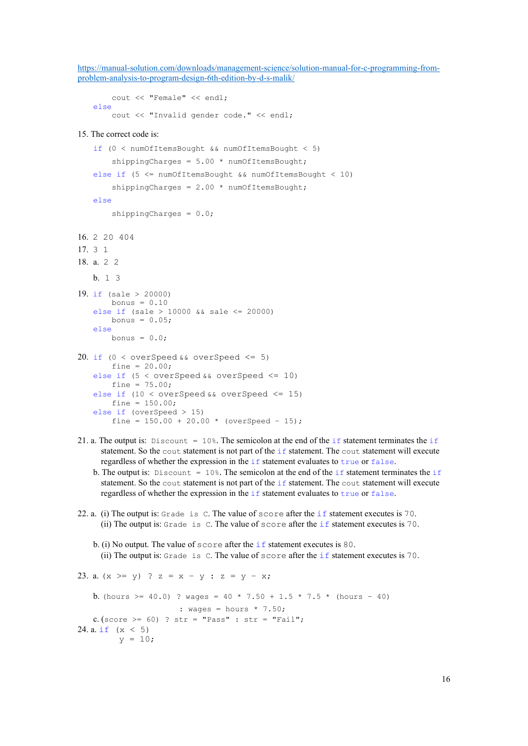```
 cout << "Female" << endl; 
else
     cout << "Invalid gender code." << endl;
```
#### 15. The correct code is:

```
if (0 < numOfItemsBought && numOfItemsBought < 5) 
       shippingCharges = 5.00 * numOfItemsBought;
   else if (5 <= numOfItemsBought && numOfItemsBought < 10) 
       shippingCharges = 2.00 * numOfItemsBought;else 
        shippingCharges = 0.0;
16. 2 20 404 
17. 3 1 
18. a. 2 2 
   b. 1 3
19. if (sale > 20000)
       bonus = 0.10else if (sale > 10000 && sale <= 20000) 
       bonus = 0.05;
   else 
       bonus = 0.0;
20. if (0 < overSpeed \&\& overSpeed \leq 5)
       fine = 20.00;
   else if (5 < overSpeed && overSpeed \leq 10)
       fine = 75.00;
   else if (10 < overSpeed && overSpeed <= 15) 
       fine = 150.00;
   else if (overSpeed > 15) 
       fine = 150.00 + 20.00 * (overSpeed - 15);
```
- 21. a. The output is: Discount = 10%. The semicolon at the end of the if statement terminates the if statement. So the cout statement is not part of the if statement. The cout statement will execute regardless of whether the expression in the if statement evaluates to true or false.
	- b. The output is: Discount = 10%. The semicolon at the end of the if statement terminates the if statement. So the cout statement is not part of the if statement. The cout statement will execute regardless of whether the expression in the if statement evaluates to true or false.
- 22. a. (i) The output is: Grade is C. The value of score after the if statement executes is 70. (ii) The output is: Grade is C. The value of score after the if statement executes is 70.
	- b. (i) No output. The value of score after the if statement executes is 80. (ii) The output is: Grade is C. The value of score after the if statement executes is 70.

```
23. a. (x \ge y) ? z = x - y : z = y - x;
   b. (hours >= 40.0) ? wages = 40 * 7.50 + 1.5 * 7.5 * (hours - 40)
                      : wages = hours * 7.50;
   c. (score >= 60) ? str = "Pass" : str = "Fail";
24. a. if (x < 5)y = 10;
```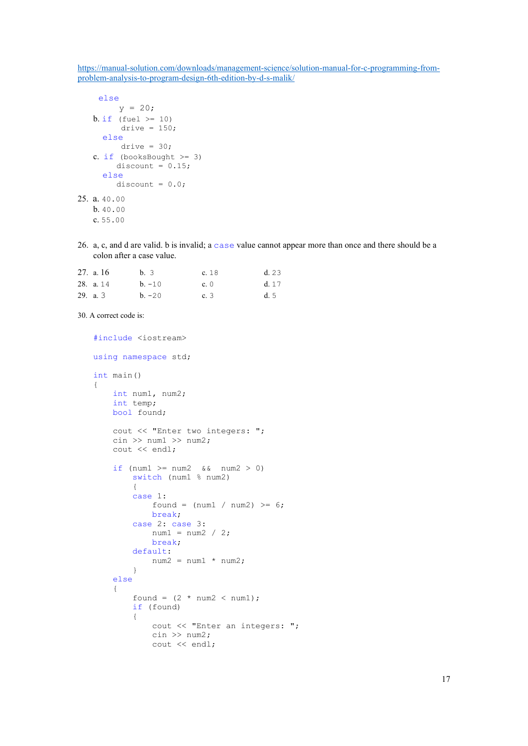```
 else 
         y = 20;b. if (fuel >= 10)
         drive = 150;
      else
         drive = 30;c. if (booksBought >= 3)
        discount = 0.15;
      else
        discount = 0.0;
25. a. 40.00
   b. 40.00
   c. 55.00
```
26. a, c, and d are valid. b is invalid; a case value cannot appear more than once and there should be a colon after a case value.

| 27. a. $16$ | b. 3     | c. 18       | d.23  |
|-------------|----------|-------------|-------|
| 28. a. 14   | $b. -10$ | c. $\theta$ | d. 17 |
| 29. a. $3$  | $b. -20$ | c.3         | d. 5  |

```
30. A correct code is:
```

```
#include <iostream> 
using namespace std; 
int main() 
{ 
        int num1, num2; 
        int temp; 
        bool found; 
       cout << "Enter two integers: ";
       \text{cin} \gg \text{num1} \gg \text{num2}; cout << endl; 
       if (num1 >= num2 &\& num2 > 0)
                switch (num1 % num2) 
\left\{ \begin{array}{ccc} 0 & 0 & 0 \\ 0 & 0 & 0 \\ 0 & 0 & 0 \\ 0 & 0 & 0 \\ 0 & 0 & 0 \\ 0 & 0 & 0 \\ 0 & 0 & 0 \\ 0 & 0 & 0 \\ 0 & 0 & 0 \\ 0 & 0 & 0 \\ 0 & 0 & 0 \\ 0 & 0 & 0 \\ 0 & 0 & 0 \\ 0 & 0 & 0 & 0 \\ 0 & 0 & 0 & 0 \\ 0 & 0 & 0 & 0 \\ 0 & 0 & 0 & 0 & 0 \\ 0 & 0 & 0 & 0 & 0 \\ 0 & 0 & 0 & 0 & 0 \\ 0 & 0 & 0 & 0 case 1: 
                      found = (num1 / num2) >= 6;
                       break; 
                case 2: case 3: 
                      num1 = num2 / 2; break; 
                default: 
                      num2 = num1 * num2; } 
        else
        { 
               found = (2 * num2 < num1);
                if (found) 
                { 
                       cout << "Enter an integers: "; 
                      \text{cin} \gg \text{num2}; cout << endl;
```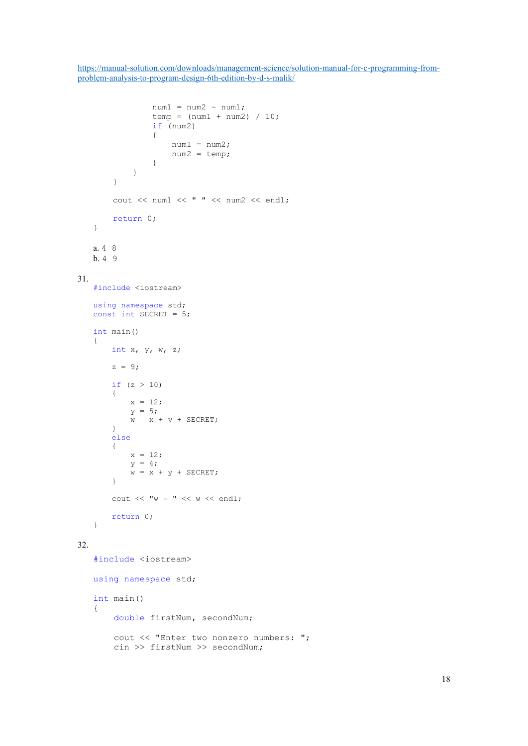```
num1 = num2 - num1;temp = (num1 + num2) / 10; if (num2) 
                  { 
                     num1 = num2;num2 = temp; } 
            } 
         } 
         cout << num1 << " " << num2 << endl; 
         return 0; 
   } 
   a. 4 8
   b. 4 9
31. 
   #include <iostream> 
   using namespace std; 
   const int SECRET = 5; 
   int main() 
   { 
       int x, y, w, z;
       z = 9;if (z > 10) { 
           x = 12;y = 5;w = x + y + SECRET; } 
        else
         { 
           x = 12;y = 4;w = x + y + SECRET; } 
       cout << "<sup>w</sup> = " << <sup>w</sup> << endl;</sup>
        return 0; 
   } 
32. 
   #include <iostream>
   using namespace std; 
   int main() 
   { 
         double firstNum, secondNum; 
         cout << "Enter two nonzero numbers: "; 
         cin >> firstNum >> secondNum;
```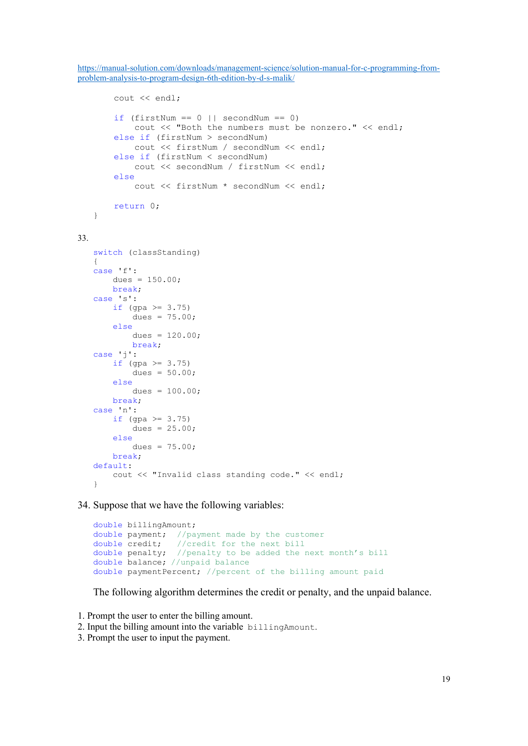```
 cout << endl; 
        if (firstNum == 0 || secondNum == 0)
             cout << "Both the numbers must be nonzero." << endl; 
         else if (firstNum > secondNum) 
             cout << firstNum / secondNum << endl; 
         else if (firstNum < secondNum) 
             cout << secondNum / firstNum << endl; 
         else 
             cout << firstNum * secondNum << endl; 
        return 0; 
   } 
33. 
   switch (classStanding)
   { 
   case 'f': 
       dues = 150.00;
        break; 
   case 's': 
       if (gpa > = 3.75)
           dues = 75.00;
        else
           dues = 120.00;
            break; 
   case 'j': 
       if (gpa > = 3.75)
            dues = 50.00;
        else
           dues = 100.00;
        break; 
   case 'n': 
       if (gpa > = 3.75)
           dues = 25.00;
        else 
           dues = 75.00;
        break; 
   default: 
        cout << "Invalid class standing code." << endl; 
   }
```
34. Suppose that we have the following variables:

```
double billingAmount; 
double payment; //payment made by the customer
double credit; //credit for the next bill
double penalty; //penalty to be added the next month's bill
double balance; //unpaid balance 
double paymentPercent; //percent of the billing amount paid
```
The following algorithm determines the credit or penalty, and the unpaid balance.

1. Prompt the user to enter the billing amount.

2. Input the billing amount into the variable billingAmount.

3. Prompt the user to input the payment.